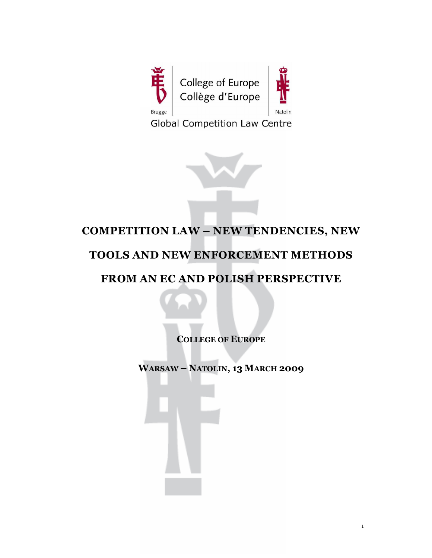

**Global Competition Law Centre** 



# COMPETITION LAW – NEW TENDENCIES, NEW

## TOOLS AND NEW ENFORCEMENT METHODS

## FROM AN EC AND POLISH PERSPECTIVE

COLLEGE OF EUROPE

WARSAW – NATOLIN, 13 MARCH 2009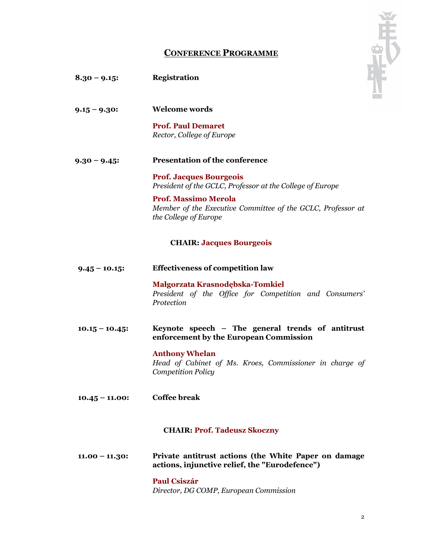|                   | <b>CONFERENCE PROGRAMME</b>                                                                                         |  |
|-------------------|---------------------------------------------------------------------------------------------------------------------|--|
|                   |                                                                                                                     |  |
| $8.30 - 9.15$     | <b>Registration</b>                                                                                                 |  |
| $9.15 - 9.30$ :   | <b>Welcome words</b>                                                                                                |  |
|                   | <b>Prof. Paul Demaret</b><br>Rector, College of Europe                                                              |  |
| $9.30 - 9.45$     | <b>Presentation of the conference</b>                                                                               |  |
|                   | <b>Prof. Jacques Bourgeois</b><br>President of the GCLC, Professor at the College of Europe                         |  |
|                   | <b>Prof. Massimo Merola</b><br>Member of the Executive Committee of the GCLC, Professor at<br>the College of Europe |  |
|                   | <b>CHAIR: Jacques Bourgeois</b>                                                                                     |  |
| $9.45 - 10.15$ :  | <b>Effectiveness of competition law</b>                                                                             |  |
|                   | Małgorzata Krasnodębska-Tomkiel<br>President of the Office for Competition and Consumers'<br>Protection             |  |
| $10.15 - 10.45$   | Keynote speech - The general trends of antitrust<br>enforcement by the European Commission                          |  |
|                   | <b>Anthony Whelan</b><br>Head of Cabinet of Ms. Kroes, Commissioner in charge of<br><b>Competition Policy</b>       |  |
| $10.45 - 11.00$ : | <b>Coffee break</b>                                                                                                 |  |
|                   | <b>CHAIR: Prof. Tadeusz Skoczny</b>                                                                                 |  |
| $11.00 - 11.30$ : | Private antitrust actions (the White Paper on damage<br>actions, injunctive relief, the "Eurodefence")              |  |
|                   | <b>Paul Csiszár</b>                                                                                                 |  |

Director, DG COMP, European Commission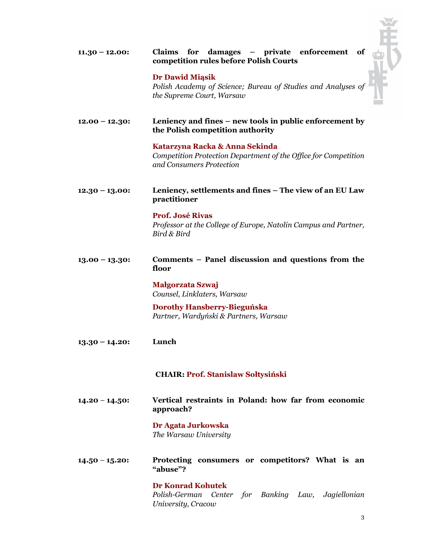| $11.30 - 12.00$   | Claims for damages – private enforcement<br>of<br>competition rules before Polish Courts                                      |  |  |
|-------------------|-------------------------------------------------------------------------------------------------------------------------------|--|--|
|                   | <b>Dr Dawid Miasik</b><br>Polish Academy of Science; Bureau of Studies and Analyses of<br>the Supreme Court, Warsaw           |  |  |
| $12.00 - 12.30$ : | Leniency and fines – new tools in public enforcement by<br>the Polish competition authority                                   |  |  |
|                   | Katarzyna Racka & Anna Sekinda<br>Competition Protection Department of the Office for Competition<br>and Consumers Protection |  |  |
| $12.30 - 13.00$   | Leniency, settlements and fines – The view of an EU Law<br>practitioner                                                       |  |  |
|                   | <b>Prof. José Rivas</b><br>Professor at the College of Europe, Natolin Campus and Partner,<br>Bird & Bird                     |  |  |
| $13.00 - 13.30$ : | Comments – Panel discussion and questions from the<br>floor                                                                   |  |  |
|                   | Małgorzata Szwaj<br>Counsel, Linklaters, Warsaw                                                                               |  |  |
|                   | <b>Dorothy Hansberry-Bieguńska</b><br>Partner, Wardyński & Partners, Warsaw                                                   |  |  |
| $13.30 - 14.20$   | Lunch                                                                                                                         |  |  |
|                   | <b>CHAIR: Prof. Stanislaw Sołtysiński</b>                                                                                     |  |  |
| $14.20 - 14.50$ : | Vertical restraints in Poland: how far from economic<br>approach?                                                             |  |  |
|                   | Dr Agata Jurkowska<br>The Warsaw University                                                                                   |  |  |
| $14.50 - 15.20$   | Protecting consumers or competitors? What is an<br>"abuse"?                                                                   |  |  |
|                   | <b>Dr Konrad Kohutek</b><br>Polish-German<br>Center for Banking Law, Jagiellonian<br>University, Cracow                       |  |  |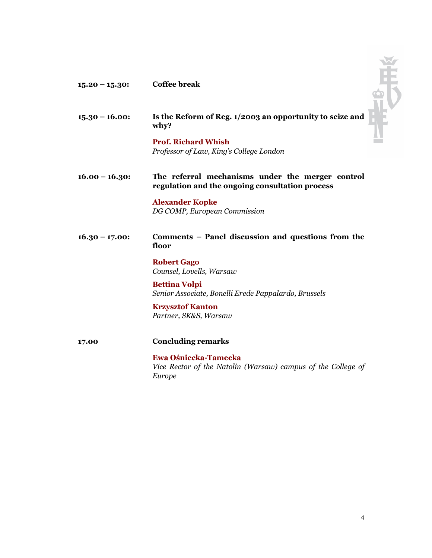

Europe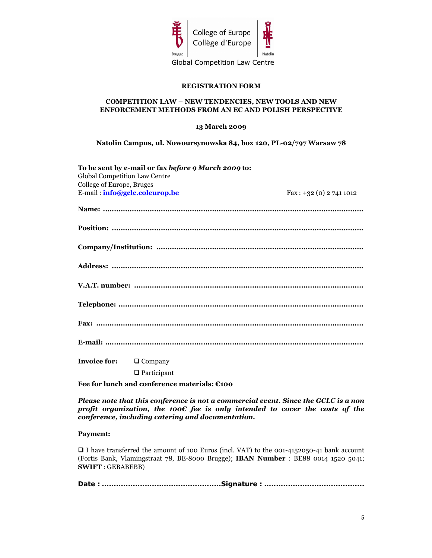

#### REGISTRATION FORM

#### COMPETITION LAW – NEW TENDENCIES, NEW TOOLS AND NEW ENFORCEMENT METHODS FROM AN EC AND POLISH PERSPECTIVE

13 March 2009

Natolin Campus, ul. Nowoursynowska 84, box 120, PL-02/797 Warsaw 78

| To be sent by e-mail or fax before 9 March 2009 to: |                          |  |  |  |
|-----------------------------------------------------|--------------------------|--|--|--|
| Global Competition Law Centre                       |                          |  |  |  |
| College of Europe, Bruges                           |                          |  |  |  |
| E-mail: info@gclc.coleurop.be                       | $Fax: +32(0) 2 741 1012$ |  |  |  |
|                                                     |                          |  |  |  |
|                                                     |                          |  |  |  |
|                                                     |                          |  |  |  |
|                                                     |                          |  |  |  |
|                                                     |                          |  |  |  |
|                                                     |                          |  |  |  |
|                                                     |                          |  |  |  |
|                                                     |                          |  |  |  |
| <b>Invoice for:</b><br>$\Box$ Company               |                          |  |  |  |

□ Participant

Fee for lunch and conference materials: €100

Please note that this conference is not a commercial event. Since the GCLC is a non profit organization, the 100 $\epsilon$  fee is only intended to cover the costs of the conference, including catering and documentation.

#### Payment:

 I have transferred the amount of 100 Euros (incl. VAT) to the 001-4152050-41 bank account (Fortis Bank, Vlamingstraat 78, BE-8000 Brugge); IBAN Number : BE88 0014 1520 5041; SWIFT : GEBABEBB)

Date : ..................................................Signature : ..........................................